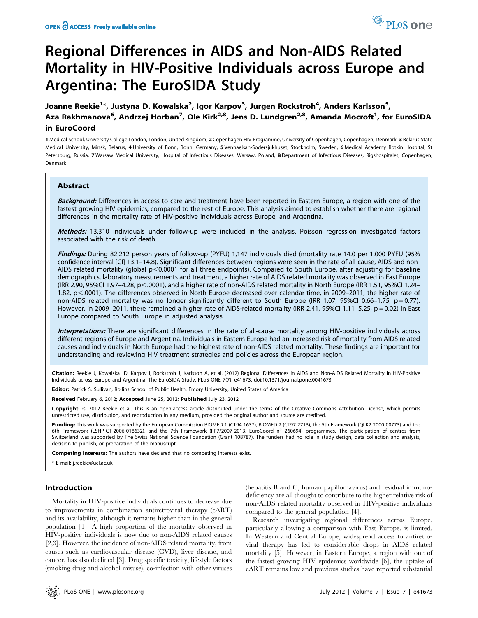# Regional Differences in AIDS and Non-AIDS Related Mortality in HIV-Positive Individuals across Europe and Argentina: The EuroSIDA Study

Joanne Reekie<sup>1</sup>\*, Justyna D. Kowalska<sup>2</sup>, Igor Karpov<sup>3</sup>, Jurgen Rockstroh<sup>4</sup>, Anders Karlsson<sup>5</sup>, Aza Rakhmanova<sup>6</sup>, Andrzej Horban<sup>7</sup>, Ole Kirk<sup>2,8</sup>, Jens D. Lundgren<sup>2,8</sup>, Amanda Mocroft<sup>1</sup>, for EuroSIDA in EuroCoord

1 Medical School, University College London, London, United Kingdom, 2 Copenhagen HIV Programme, University of Copenhagen, Copenhagen, Denmark, 3 Belarus State Medical University, Minsk, Belarus, 4 University of Bonn, Bonn, Germany, 5 Venhaelsan-Sodersjukhuset, Stockholm, Sweden, 6 Medical Academy Botkin Hospital, St Petersburg, Russia, 7 Warsaw Medical University, Hospital of Infectious Diseases, Warsaw, Poland, 8 Department of Infectious Diseases, Rigshospitalet, Copenhagen, Denmark

# Abstract

Background: Differences in access to care and treatment have been reported in Eastern Europe, a region with one of the fastest growing HIV epidemics, compared to the rest of Europe. This analysis aimed to establish whether there are regional differences in the mortality rate of HIV-positive individuals across Europe, and Argentina.

Methods: 13,310 individuals under follow-up were included in the analysis. Poisson regression investigated factors associated with the risk of death.

Findings: During 82,212 person years of follow-up (PYFU) 1,147 individuals died (mortality rate 14.0 per 1,000 PYFU (95% confidence interval [CI] 13.1–14.8). Significant differences between regions were seen in the rate of all-cause, AIDS and non-AIDS related mortality (global  $p<0.0001$  for all three endpoints). Compared to South Europe, after adjusting for baseline demographics, laboratory measurements and treatment, a higher rate of AIDS related mortality was observed in East Europe (IRR 2.90, 95%CI 1.97-4.28, p<.0001), and a higher rate of non-AIDS related mortality in North Europe (IRR 1.51, 95%CI 1.24-1.82, p<.0001). The differences observed in North Europe decreased over calendar-time, in 2009–2011, the higher rate of non-AIDS related mortality was no longer significantly different to South Europe (IRR 1.07, 95%CI 0.66–1.75,  $p = 0.77$ ). However, in 2009–2011, there remained a higher rate of AIDS-related mortality (IRR 2.41, 95%CI 1.11–5.25, p = 0.02) in East Europe compared to South Europe in adjusted analysis.

Interpretations: There are significant differences in the rate of all-cause mortality among HIV-positive individuals across different regions of Europe and Argentina. Individuals in Eastern Europe had an increased risk of mortality from AIDS related causes and individuals in North Europe had the highest rate of non-AIDS related mortality. These findings are important for understanding and reviewing HIV treatment strategies and policies across the European region.

Citation: Reekie J, Kowalska JD, Karpov I, Rockstroh J, Karlsson A, et al. (2012) Regional Differences in AIDS and Non-AIDS Related Mortality in HIV-Positive Individuals across Europe and Argentina: The EuroSIDA Study. PLoS ONE 7(7): e41673. doi:10.1371/journal.pone.0041673

Editor: Patrick S. Sullivan, Rollins School of Public Health, Emory University, United States of America

Received February 6, 2012; Accepted June 25, 2012; Published July 23, 2012

Copyright: © 2012 Reekie et al. This is an open-access article distributed under the terms of the Creative Commons Attribution License, which permits unrestricted use, distribution, and reproduction in any medium, provided the original author and source are credited.

Funding: This work was supported by the European Commission BIOMED 1 (CT94-1637), BIOMED 2 (CT97-2713), the 5th Framework (QLK2-2000-00773) and the 6th Framework (LSHP-CT-2006-018632), and the 7th Framework (FP7/2007-2013, EuroCoord nº 260694) programmes. The participation of centres from Switzerland was supported by The Swiss National Science Foundation (Grant 108787). The funders had no role in study design, data collection and analysis, decision to publish, or preparation of the manuscript.

Competing Interests: The authors have declared that no competing interests exist.

\* E-mail: j.reekie@ucl.ac.uk

## Introduction

Mortality in HIV-positive individuals continues to decrease due to improvements in combination antiretroviral therapy (cART) and its availability, although it remains higher than in the general population [1]. A high proportion of the mortality observed in HIV-positive individuals is now due to non-AIDS related causes [2,3]. However, the incidence of non-AIDS related mortality, from causes such as cardiovascular disease (CVD), liver disease, and cancer, has also declined [3]. Drug specific toxicity, lifestyle factors (smoking drug and alcohol misuse), co-infection with other viruses

(hepatitis B and C, human papillomavirus) and residual immunodeficiency are all thought to contribute to the higher relative risk of non-AIDS related mortality observed in HIV-positive individuals compared to the general population [4].

Research investigating regional differences across Europe, particularly allowing a comparison with East Europe, is limited. In Western and Central Europe, widespread access to antiretroviral therapy has led to considerable drops in AIDS related mortality [5]. However, in Eastern Europe, a region with one of the fastest growing HIV epidemics worldwide [6], the uptake of cART remains low and previous studies have reported substantial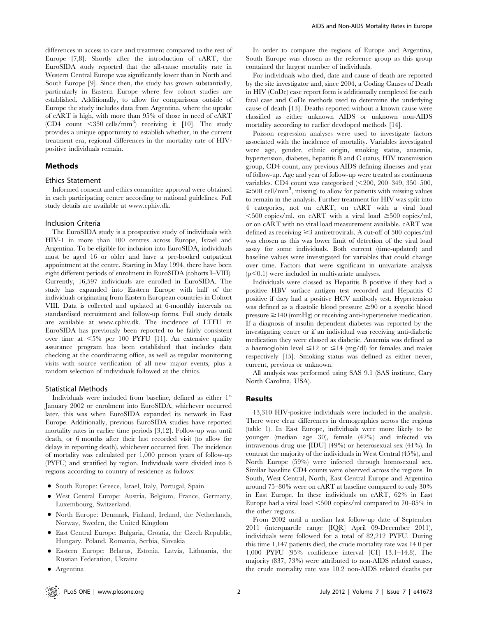differences in access to care and treatment compared to the rest of Europe [7,8]. Shortly after the introduction of cART, the EuroSIDA study reported that the all-cause mortality rate in Western Central Europe was significantly lower than in North and South Europe [9]. Since then, the study has grown substantially, particularly in Eastern Europe where few cohort studies are established. Additionally, to allow for comparisons outside of Europe the study includes data from Argentina, where the uptake of cART is high, with more than 95% of those in need of cART (CD4 count <350 cells/mm<sup>3</sup>) receiving it [10]. The study provides a unique opportunity to establish whether, in the current treatment era, regional differences in the mortality rate of HIVpositive individuals remain.

## Methods

#### Ethics Statement

Informed consent and ethics committee approval were obtained in each participating centre according to national guidelines. Full study details are available at www.cphiv.dk.

#### Inclusion Criteria

The EuroSIDA study is a prospective study of individuals with HIV-1 in more than 100 centres across Europe, Israel and Argentina. To be eligible for inclusion into EuroSIDA, individuals must be aged 16 or older and have a pre-booked outpatient appointment at the centre. Starting in May 1994, there have been eight different periods of enrolment in EuroSIDA (cohorts I–VIII). Currently, 16,597 individuals are enrolled in EuroSIDA. The study has expanded into Eastern Europe with half of the individuals originating from Eastern European countries in Cohort VIII. Data is collected and updated at 6-monthly intervals on standardised recruitment and follow-up forms. Full study details are available at www.cphiv.dk. The incidence of LTFU in EuroSIDA has previously been reported to be fairly consistent over time at  $\leq 5\%$  per 100 PYFU [11]. An extensive quality assurance program has been established that includes data checking at the coordinating office, as well as regular monitoring visits with source verification of all new major events, plus a random selection of individuals followed at the clinics.

#### Statistical Methods

Individuals were included from baseline, defined as either 1<sup>st</sup> January 2002 or enrolment into EuroSIDA, whichever occurred later, this was when EuroSIDA expanded its network in East Europe. Additionally, previous EuroSIDA studies have reported mortality rates in earlier time periods [3,12]. Follow-up was until death, or 6 months after their last recorded visit (to allow for delays in reporting death), whichever occurred first. The incidence of mortality was calculated per 1,000 person years of follow-up (PYFU) and stratified by region. Individuals were divided into 6 regions according to country of residence as follows:

- South Europe: Greece, Israel, Italy, Portugal, Spain.
- N West Central Europe: Austria, Belgium, France, Germany, Luxembourg, Switzerland.
- $\bullet$  North Europe: Denmark, Finland, Ireland, the Netherlands, Norway, Sweden, the United Kingdom
- N East Central Europe: Bulgaria, Croatia, the Czech Republic, Hungary, Poland, Romania, Serbia, Slovakia
- N Eastern Europe: Belarus, Estonia, Latvia, Lithuania, the Russian Federation, Ukraine
- Argentina

In order to compare the regions of Europe and Argentina, South Europe was chosen as the reference group as this group contained the largest number of individuals.

For individuals who died, date and cause of death are reported by the site investigator and, since 2004, a Coding Causes of Death in HIV (CoDe) case report form is additionally completed for each fatal case and CoDe methods used to determine the underlying cause of death [13]. Deaths reported without a known cause were classified as either unknown AIDS or unknown non-AIDS mortality according to earlier developed methods [14].

Poisson regression analyses were used to investigate factors associated with the incidence of mortality. Variables investigated were age, gender, ethnic origin, smoking status, anaemia, hypertension, diabetes, hepatitis B and C status, HIV transmission group, CD4 count, any previous AIDS defining illnesses and year of follow-up. Age and year of follow-up were treated as continuous variables. CD4 count was categorised  $($  < 200, 200–349, 350–500,  $\geq$  500 cell/mm<sup>3</sup>, missing) to allow for patients with missing values to remain in the analysis. Further treatment for HIV was split into 4 categories, not on cART, on cART with a viral load  $\leq$  500 copies/ml, on cART with a viral load  $\geq$  500 copies/ml, or on cART with no viral load measurement available. cART was defined as receiving  $\geq$  3 antiretrovirals. A cut-off of 500 copies/ml was chosen as this was lower limit of detection of the viral load assay for some individuals. Both current (time-updated) and baseline values were investigated for variables that could change over time. Factors that were significant in univariate analysis  $(p<0.1)$  were included in multivariate analyses.

Individuals were classed as Hepatitis B positive if they had a positive HBV surface antigen test recorded and Hepatitis C positive if they had a positive HCV antibody test. Hypertension was defined as a diastolic blood pressure  $\geq 90$  or a systolic blood pressure  $\geq$ 140 (mmHg) or receiving anti-hypertensive medication. If a diagnosis of insulin dependent diabetes was reported by the investigating centre or if an individual was receiving anti-diabetic medication they were classed as diabetic. Anaemia was defined as a haemoglobin level  $\leq 12$  or  $\leq 14$  (mg/dl) for females and males respectively [15]. Smoking status was defined as either never, current, previous or unknown.

All analysis was performed using SAS 9.1 (SAS institute, Cary North Carolina, USA).

## Results

13,310 HIV-positive individuals were included in the analysis. There were clear differences in demographics across the regions (table 1). In East Europe, individuals were more likely to be younger (median age 30), female (42%) and infected via intravenous drug use [IDU] (49%) or heterosexual sex (41%). In contrast the majority of the individuals in West Central (45%), and North Europe (59%) were infected through homosexual sex. Similar baseline CD4 counts were observed across the regions. In South, West Central, North, East Central Europe and Argentina around 75–80% were on cART at baseline compared to only 30% in East Europe. In these individuals on cART, 62% in East Europe had a viral load  $\leq 500$  copies/ml compared to 70–85% in the other regions.

From 2002 until a median last follow-up date of September 2011 (interquartile range [IQR] April 09-December 2011), individuals were followed for a total of 82,212 PYFU. During this time 1,147 patients died, the crude mortality rate was 14.0 per 1,000 PYFU (95% confidence interval [CI] 13.1–14.8). The majority (837, 73%) were attributed to non-AIDS related causes, the crude mortality rate was 10.2 non-AIDS related deaths per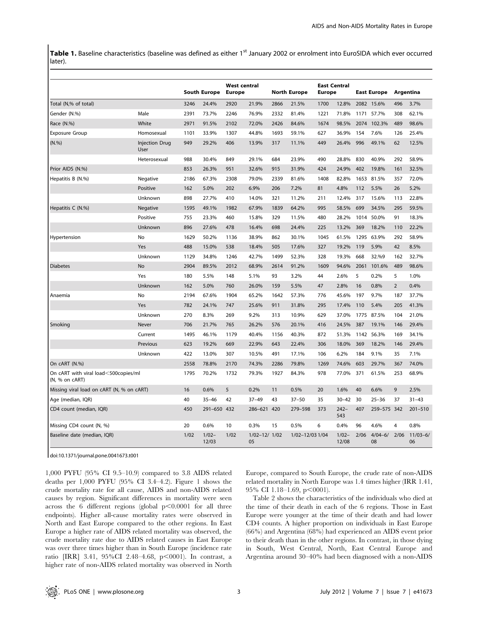Table 1. Baseline characteristics (baseline was defined as either 1<sup>st</sup> January 2002 or enrolment into EuroSIDA which ever occurred later).

|                                                        |                               | South Europe |                   | West central<br><b>Europe</b> |                         | <b>North Europe</b> |                 | <b>East Central</b><br><b>Europe</b> |                   | <b>East Europe</b> |                   | Argentina      |                    |
|--------------------------------------------------------|-------------------------------|--------------|-------------------|-------------------------------|-------------------------|---------------------|-----------------|--------------------------------------|-------------------|--------------------|-------------------|----------------|--------------------|
| Total (N,% of total)                                   |                               | 3246         | 24.4%             | 2920                          | 21.9%                   | 2866                | 21.5%           | 1700                                 | 12.8%             |                    | 2082 15.6%        | 496            | 3.7%               |
| Gender (N.%)                                           | Male                          | 2391         | 73.7%             | 2246                          | 76.9%                   | 2332                | 81.4%           | 1221                                 | 71.8%             |                    | 1171 57.7%        | 308            | 62.1%              |
| Race (N.%)                                             | White                         | 2971         | 91.5%             | 2102                          | 72.0%                   | 2426                | 84.6%           | 1674                                 | 98.5%             |                    | 2074 102.3%       | 489            | 98.6%              |
| <b>Exposure Group</b>                                  | Homosexual                    | 1101         | 33.9%             | 1307                          | 44.8%                   | 1693                | 59.1%           | 627                                  | 36.9%             | 154                | 7.6%              | 126            | 25.4%              |
| (N.%)                                                  | <b>Injection Drug</b><br>User | 949          | 29.2%             | 406                           | 13.9%                   | 317                 | 11.1%           | 449                                  | 26.4%             | 996                | 49.1%             | 62             | 12.5%              |
|                                                        | Heterosexual                  | 988          | 30.4%             | 849                           | 29.1%                   | 684                 | 23.9%           | 490                                  | 28.8%             | 830                | 40.9%             | 292            | 58.9%              |
| Prior AIDS (N.%)                                       |                               | 853          | 26.3%             | 951                           | 32.6%                   | 915                 | 31.9%           | 424                                  | 24.9%             | 402                | 19.8%             | 161            | 32.5%              |
| Hepatitis B (N.%)                                      | Negative                      | 2186         | 67.3%             | 2308                          | 79.0%                   | 2339                | 81.6%           | 1408                                 | 82.8%             |                    | 1653 81.5%        | 357            | 72.0%              |
|                                                        | Positive                      | 162          | 5.0%              | 202                           | 6.9%                    | 206                 | 7.2%            | 81                                   | 4.8%              | 112                | 5.5%              | 26             | 5.2%               |
|                                                        | Unknown                       | 898          | 27.7%             | 410                           | 14.0%                   | 321                 | 11.2%           | 211                                  | 12.4%             | 317                | 15.6%             | 113            | 22.8%              |
| Hepatitis C (N.%)                                      | Negative                      | 1595         | 49.1%             | 1982                          | 67.9%                   | 1839                | 64.2%           | 995                                  | 58.5%             | 699                | 34.5%             | 295            | 59.5%              |
|                                                        | Positive                      | 755          | 23.3%             | 460                           | 15.8%                   | 329                 | 11.5%           | 480                                  | 28.2%             |                    | 1014 50.0%        | 91             | 18.3%              |
|                                                        | Unknown                       | 896          | 27.6%             | 478                           | 16.4%                   | 698                 | 24.4%           | 225                                  | 13.2%             | 369                | 18.2%             | 110            | 22.2%              |
| Hypertension                                           | No                            | 1629         | 50.2%             | 1136                          | 38.9%                   | 862                 | 30.1%           | 1045                                 | 61.5%             | 1295               | 63.9%             | 292            | 58.9%              |
|                                                        | Yes                           | 488          | 15.0%             | 538                           | 18.4%                   | 505                 | 17.6%           | 327                                  | 19.2%             | 119                | 5.9%              | 42             | 8.5%               |
|                                                        | Unknown                       | 1129         | 34.8%             | 1246                          | 42.7%                   | 1499                | 52.3%           | 328                                  | 19.3%             | 668                | 32.%9             | 162            | 32.7%              |
| <b>Diabetes</b>                                        | <b>No</b>                     | 2904         | 89.5%             | 2012                          | 68.9%                   | 2614                | 91.2%           | 1609                                 | 94.6%             | 2061               | 101.6%            | 489            | 98.6%              |
|                                                        | Yes                           | 180          | 5.5%              | 148                           | 5.1%                    | 93                  | 3.2%            | 44                                   | 2.6%              | 5                  | 0.2%              | 5              | 1.0%               |
|                                                        | Unknown                       | 162          | 5.0%              | 760                           | 26.0%                   | 159                 | 5.5%            | 47                                   | 2.8%              | 16                 | 0.8%              | $\overline{2}$ | 0.4%               |
| Anaemia                                                | No                            | 2194         | 67.6%             | 1904                          | 65.2%                   | 1642                | 57.3%           | 776                                  | 45.6%             | 197                | 9.7%              | 187            | 37.7%              |
|                                                        | Yes                           | 782          | 24.1%             | 747                           | 25.6%                   | 911                 | 31.8%           | 295                                  | 17.4%             | 110                | 5.4%              | 205            | 41.3%              |
|                                                        | Unknown                       | 270          | 8.3%              | 269                           | 9.2%                    | 313                 | 10.9%           | 629                                  | 37.0%             |                    | 1775 87.5%        | 104            | 21.0%              |
| Smokina                                                | Never                         | 706          | 21.7%             | 765                           | 26.2%                   | 576                 | 20.1%           | 416                                  | 24.5%             | 387                | 19.1%             | 146            | 29.4%              |
|                                                        | Current                       | 1495         | 46.1%             | 1179                          | 40.4%                   | 1156                | 40.3%           | 872                                  | 51.3%             |                    | 1142 56.3%        | 169            | 34.1%              |
|                                                        | Previous                      | 623          | 19.2%             | 669                           | 22.9%                   | 643                 | 22.4%           | 306                                  | 18.0%             | 369                | 18.2%             | 146            | 29.4%              |
|                                                        | Unknown                       | 422          | 13.0%             | 307                           | 10.5%                   | 491                 | 17.1%           | 106                                  | 6.2%              | 184                | 9.1%              | 35             | 7.1%               |
| On cART (N.%)                                          |                               | 2558         | 78.8%             | 2170                          | 74.3%                   | 2286                | 79.8%           | 1269                                 | 74.6%             | 603                | 29.7%             | 367            | 74.0%              |
| On cART with viral load<500copies/ml<br>(N, % on cART) |                               | 1795         | 70.2%             | 1732                          | 79.3%                   | 1927                | 84.3%           | 978                                  | 77.0%             | 371                | 61.5%             | 253            | 68.9%              |
| Missing viral load on cART (N, % on cART)              |                               | 16           | 0.6%              | 5                             | 0.2%                    | 11                  | 0.5%            | 20                                   | 1.6%              | 40                 | 6.6%              | 9              | 2.5%               |
| Age (median, IQR)                                      |                               | 40           | $35 - 46$         | 42                            | $37 - 49$               | 43                  | $37 - 50$       | 35                                   | $30 - 42$         | 30                 | $25 - 36$         | 37             | $31 - 43$          |
| CD4 count (median, IQR)                                |                               | 450          | 291-650 432       |                               | 286-621 420             |                     | 279-598         | 373                                  | $242-$<br>543     | 407                | 259-575 342       |                | $201 - 510$        |
| Missing CD4 count (N, %)                               |                               | 20           | 0.6%              | 10                            | 0.3%                    | 15                  | 0.5%            | 6                                    | 0.4%              | 96                 | 4.6%              | 4              | 0.8%               |
| Baseline date (median, IQR)                            |                               | 1/02         | $1/02 -$<br>12/03 | 1/02                          | $1/02 - 12/ 1/02$<br>05 |                     | 1/02-12/03 1/04 |                                      | $1/02 -$<br>12/08 | 2/06               | $4/04 - 6/$<br>08 | 2/06           | $11/03 - 6/$<br>06 |

doi:10.1371/journal.pone.0041673.t001

1,000 PYFU (95% CI 9.5–10.9) compared to 3.8 AIDS related deaths per 1,000 PYFU (95% CI 3.4–4.2). Figure 1 shows the crude mortality rate for all cause, AIDS and non-AIDS related causes by region. Significant differences in mortality were seen across the 6 different regions (global  $p<0.0001$  for all three endpoints). Higher all-cause mortality rates were observed in North and East Europe compared to the other regions. In East Europe a higher rate of AIDS related mortality was observed, the crude mortality rate due to AIDS related causes in East Europe was over three times higher than in South Europe (incidence rate ratio [IRR] 3.41, 95%CI 2.48-4.68, p<0001). In contrast, a higher rate of non-AIDS related mortality was observed in North Europe, compared to South Europe, the crude rate of non-AIDS related mortality in North Europe was 1.4 times higher (IRR 1.41, 95% CI 1.18-1.69, p<0001).

Table 2 shows the characteristics of the individuals who died at the time of their death in each of the 6 regions. Those in East Europe were younger at the time of their death and had lower CD4 counts. A higher proportion on individuals in East Europe (66%) and Argentina (68%) had experienced an AIDS event prior to their death than in the other regions. In contrast, in those dying in South, West Central, North, East Central Europe and Argentina around 30–40% had been diagnosed with a non-AIDS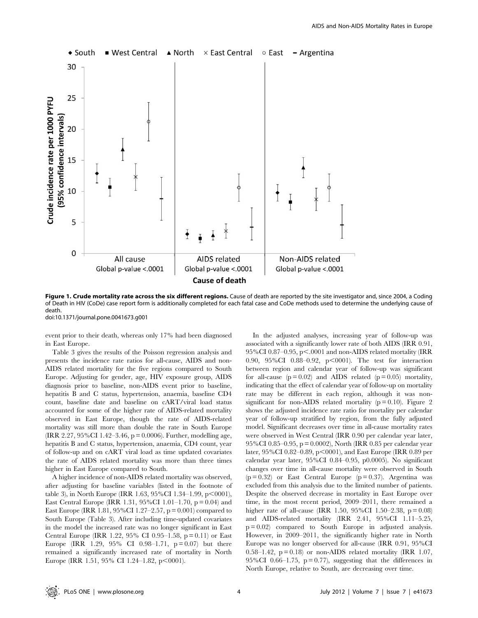

Figure 1. Crude mortality rate across the six different regions. Cause of death are reported by the site investigator and, since 2004, a Coding of Death in HIV (CoDe) case report form is additionally completed for each fatal case and CoDe methods used to determine the underlying cause of death. doi:10.1371/journal.pone.0041673.g001

event prior to their death, whereas only 17% had been diagnosed in East Europe.

Table 3 gives the results of the Poisson regression analysis and presents the incidence rate ratios for all-cause, AIDS and non-AIDS related mortality for the five regions compared to South Europe. Adjusting for gender, age, HIV exposure group, AIDS diagnosis prior to baseline, non-AIDS event prior to baseline, hepatitis B and C status, hypertension, anaemia, baseline CD4 count, baseline date and baseline on cART/viral load status accounted for some of the higher rate of AIDS-related mortality observed in East Europe, though the rate of AIDS-related mortality was still more than double the rate in South Europe (IRR 2.27, 95%CI 1.42–3.46,  $p = 0.0006$ ). Further, modelling age, hepatitis B and C status, hypertension, anaemia, CD4 count, year of follow-up and on cART viral load as time updated covariates the rate of AIDS related mortality was more than three times higher in East Europe compared to South.

A higher incidence of non-AIDS related mortality was observed, after adjusting for baseline variables (listed in the footnote of table 3), in North Europe (IRR 1.63, 95%CI 1.34–1.99, p $<$ 0001), East Central Europe (IRR 1.31, 95%CI 1.01–1.70,  $p = 0.04$ ) and East Europe (IRR 1.81, 95%CI 1.27–2.57,  $p = 0.001$ ) compared to South Europe (Table 3). After including time-updated covariates in the model the increased rate was no longer significant in East Central Europe (IRR 1.22, 95% CI 0.95–1.58,  $p = 0.11$ ) or East Europe (IRR 1.29, 95% CI 0.98-1.71,  $p = 0.07$ ) but there remained a significantly increased rate of mortality in North Europe (IRR 1.51, 95% CI 1.24–1.82, p $\leq$ 0001).

In the adjusted analyses, increasing year of follow-up was associated with a significantly lower rate of both AIDS (IRR 0.91,  $95\%$ CI 0.87–0.95, p $\leq$ .0001 and non-AIDS related mortality (IRR 0.90, 95%CI 0.88–0.92,  $p<0001$ ). The test for interaction between region and calendar year of follow-up was significant for all-cause  $(p = 0.02)$  and AIDS related  $(p = 0.05)$  mortality, indicating that the effect of calendar year of follow-up on mortality rate may be different in each region, although it was nonsignificant for non-AIDS related mortality ( $p = 0.10$ ). Figure 2 shows the adjusted incidence rate ratio for mortality per calendar year of follow-up stratified by region, from the fully adjusted model. Significant decreases over time in all-cause mortality rates were observed in West Central (IRR 0.90 per calendar year later, 95%CI 0.85–0.95, p = 0.0002), North (IRR 0.85 per calendar year later, 95%CI 0.82–0.89, p<0001), and East Europe (IRR 0.89 per calendar year later, 95%CI 0.84–0.95, p0.0005). No significant changes over time in all-cause mortality were observed in South  $(p=0.32)$  or East Central Europe  $(p=0.37)$ . Argentina was excluded from this analysis due to the limited number of patients. Despite the observed decrease in mortality in East Europe over time, in the most recent period, 2009–2011, there remained a higher rate of all-cause (IRR 1.50, 95%CI 1.50–2.38, p = 0.08) and AIDS-related mortality (IRR 2.41, 95%CI 1.11–5.25,  $p = 0.02$  compared to South Europe in adjusted analysis. However, in 2009–2011, the significantly higher rate in North Europe was no longer observed for all-cause (IRR 0.91, 95%CI 0.58–1.42,  $p = 0.18$  or non-AIDS related mortality (IRR 1.07, 95%CI 0.66–1.75,  $p = 0.77$ , suggesting that the differences in North Europe, relative to South, are decreasing over time.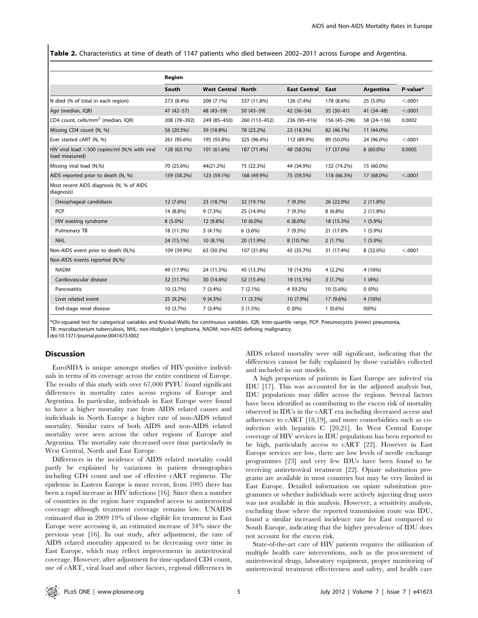Table 2. Characteristics at time of death of 1147 patients who died between 2002–2011 across Europe and Argentina.

|                                                                 | Region       |                           |               |                     |              |             |          |
|-----------------------------------------------------------------|--------------|---------------------------|---------------|---------------------|--------------|-------------|----------|
|                                                                 | South        | <b>West Central North</b> |               | <b>East Central</b> | East         | Argentina   | P-value* |
| N died (% of total in each region)                              | 273 (8.4%)   | 208 (7.1%)                | 337 (11.8%)   | 126 (7.4%)          | 178 (8.6%)   | 25 (5.0%)   | < .0001  |
| Age (median, IQR)                                               | $47(42-57)$  | 48 (43-59)                | $50(43-59)$   | $42(36-54)$         | $35(30-41)$  | 41 (34-48)  | < .0001  |
| CD4 count, cells/mm <sup>3</sup> (median, IQR)                  | 208 (78-392) | 249 (85-450)              | 260 (113-452) | 236 (90-416)        | 156 (45-296) | 58 (24-136) | 0.0002   |
| Missing CD4 count (N, %)                                        | 56 (20.5%)   | 39 (18.8%)                | 78 (23.2%)    | 23 (18.3%)          | 82 (46.1%)   | 11 (44.0%)  |          |
| Ever started cART (N, %)                                        | 261 (95.6%)  | 195 (93.8%)               | 325 (96.4%)   | 112 (89.9%)         | 89 (50.0%)   | 24 (96.0%)  | < .0001  |
| HIV viral load <500 copies/ml (N,% with viral<br>load measured) | 128 (63.1%)  | 101 (61.6%)               | 187 (71.4%)   | 48 (58.5%)          | 17 (37.0%)   | $6(60.0\%)$ | 0.0005   |
| Missing viral load (N,%)                                        | 70 (25.6%)   | 44(21.2%)                 | 75 (22.3%)    | 44 (34.9%)          | 132 (74.2%)  | 15 (60.0%)  |          |
| AIDS reported prior to death (N, %)                             | 159 (58.2%)  | 123 (59.1%)               | 168 (49.9%)   | 75 (59.5%)          | 118 (66.3%)  | 17 (68.0%)  | < .0001  |
| Most recent AIDS diagnosis (N, % of AIDS<br>diagnosis)          |              |                           |               |                     |              |             |          |
| Oesophageal candidiasis                                         | 12 (7.6%)    | 23 (18.7%)                | 32 (19.1%)    | 7(9.3%)             | 26 (22.0%)   | 2(11.8%)    |          |
| PCP                                                             | 14 (8.8%)    | 9(7.3%)                   | 25 (14.9%)    | 7(9.3%)             | $8(6.8\%)$   | 2 (11.8%)   |          |
| HIV wasting syndrome                                            | $8(5.0\%)$   | 12 (9.8%)                 | $10(6.0\%)$   | $6(8.0\%)$          | 18 (15.3%)   | $1(5.9\%)$  |          |
| Pulmonary TB                                                    | 18 (11.3%)   | $5(4.1\%)$                | $6(3.6\%)$    | 7(9.3%)             | 21 (17.8%)   | $1(5.9\%)$  |          |
| <b>NHL</b>                                                      | 24 (15.1%)   | $10(8.1\%)$               | 20 (11.9%)    | 8 (10.7%)           | 2(1.7%)      | $1(5.9\%)$  |          |
| Non-AIDS event prior to death (N,%)                             | 109 (39.9%)  | 63 (30.3%)                | 107 (31.8%)   | 45 (35.7%)          | 31 (17.4%)   | 8 (32.0%)   | < .0001  |
| Non-AIDS events reported (N,%)                                  |              |                           |               |                     |              |             |          |
| <b>NADM</b>                                                     | 49 (17.9%)   | 24 (11.5%)                | 45 (13.3%)    | 18 (14.3%)          | $4(2.2\%)$   | 4 (16%)     |          |
| Cardiovascular disease                                          | 32 (11.7%)   | 30 (14.4%)                | 52 (15.4%)    | 19 (15.1%)          | 3(1.7%)      | 1(4%)       |          |
| Pancreatitis                                                    | 10 (3.7%)    | $7(3.4\%)$                | $7(2.1\%)$    | 4 93.2%)            | 10 (5.6%)    | $0(0\%)$    |          |
| Liver related event                                             | 25 (9.2%)    | $9(4.3\%)$                | $11(3.3\%)$   | 10 (7.9%)           | 17 (9.6%)    | 4(16%)      |          |
| End-stage renal disease                                         | 10 (3.7%)    | $7(3.4\%)$                | 5(1.5%)       | $0(0\%)$            | $1(0.6\%)$   | $0(0\%)$    |          |

\*Chi-squared test for categorical variables and Kruskal-Wallis for continuous variables. IQR; Inter-quartile range, PCP: Pneumocystis jiroveci pneumonia, TB: mycobacterium tuberculosis, NHL: non-Hodgkin's lymphoma, NADM: non-AIDS defining malignancy.

#### doi:10.1371/journal.pone.0041673.t002

## Discussion

EuroSIDA is unique amongst studies of HIV-positive individuals in terms of its coverage across the entire continent of Europe. The results of this study with over 67,000 PYFU found significant differences in mortality rates across regions of Europe and Argentina. In particular, individuals in East Europe were found to have a higher mortality rate from AIDS related causes and individuals in North Europe a higher rate of non-AIDS related mortality. Similar rates of both AIDS and non-AIDS related mortality were seen across the other regions of Europe and Argentina. The mortality rate decreased over time particularly in West Central, North and East Europe.

Differences in the incidence of AIDS related mortality could partly be explained by variations in patient demographics including CD4 count and use of effective cART regimens. The epidemic in Eastern Europe is more recent, from 1995 there has been a rapid increase in HIV infections [16]. Since then a number of countries in the region have expanded access to antiretroviral coverage although treatment coverage remains low. UNAIDS estimated that in 2009 19% of those eligible for treatment in East Europe were accessing it, an estimated increase of 34% since the previous year [16]. In our study, after adjustment, the rate of AIDS related mortality appeared to be decreasing over time in East Europe, which may reflect improvements in antiretroviral coverage. However, after adjustment for time-updated CD4 count, use of cART, viral load and other factors, regional differences in AIDS related mortality were still significant, indicating that the differences cannot be fully explained by those variables collected and included in our models.

A high proportion of patients in East Europe are infected via IDU [17]. This was accounted for in the adjusted analysis but, IDU populations may differ across the regions. Several factors have been identified as contributing to the excess risk of mortality observed in IDUs in the cART era including decreased access and adherence to cART [18,19], and more comorbidities such as coinfection with hepatitis C [20,21]. In West Central Europe coverage of HIV services in IDU populations has been reported to be high, particularly access to cART [22]. However in East Europe services are low, there are low levels of needle exchange programmes [23] and very few IDUs have been found to be receiving antiretroviral treatment [22]. Opiate substitution programs are available in most countries but may be very limited in East Europe. Detailed information on opiate substitution programmes or whether individuals were actively injecting drug users was not available in this analysis. However, a sensitivity analysis, excluding those where the reported transmission route was IDU, found a similar increased incidence rate for East compared to South Europe, indicating that the higher prevalence of IDU does not account for the excess risk.

State-of-the-art care of HIV patients requires the utilisation of multiple health care interventions, such as the procurement of antiretroviral drugs, laboratory equipment, proper monitoring of antiretroviral treatment effectiveness and safety, and health care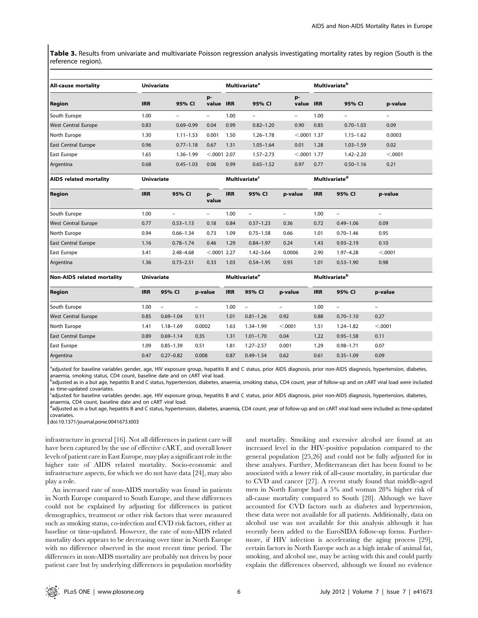Table 3. Results from univariate and multivariate Poisson regression analysis investigating mortality rates by region (South is the reference region).

| <b>All-cause mortality</b>        | <b>Univariate</b> |                          |                                 |                                 | <b>Multivariate<sup>a</sup></b> |                                  | <b>Multivariate<sup>b</sup></b> |                          |                          |  |  |
|-----------------------------------|-------------------|--------------------------|---------------------------------|---------------------------------|---------------------------------|----------------------------------|---------------------------------|--------------------------|--------------------------|--|--|
| <b>Region</b>                     | <b>IRR</b>        | 95% CI                   | p-<br>value IRR                 |                                 | 95% CI                          | p-<br>value IRR                  |                                 | 95% CI                   | p-value                  |  |  |
| South Europe                      | 1.00              | $\overline{\phantom{0}}$ | $\overline{\phantom{0}}$        | 1.00                            | $\overline{\phantom{0}}$        | $\overline{\phantom{a}}$         | 1.00                            | $-$                      | $\overline{\phantom{0}}$ |  |  |
| <b>West Central Europe</b>        | 0.83              | $0.69 - 0.99$            | 0.04                            | 0.99                            | $0.82 - 1.20$                   | 0.90                             | 0.85                            | $0.70 - 1.03$            | 0.09                     |  |  |
| North Europe                      | 1.30              | $1.11 - 1.53$            | 0.001                           | 1.50                            | $1.26 - 1.78$                   | $< 0.001$ 1.37                   |                                 | $1.15 - 1.62$            | 0.0003                   |  |  |
| East Central Europe               | 0.96              | $0.77 - 1.18$            | 0.67                            | 1.31                            | $1.05 - 1.64$                   | 0.01                             | 1.28                            | $1.03 - 1.59$            | 0.02                     |  |  |
| East Europe                       | 1.65              | $1.36 - 1.99$            | $< 0.001$ 2.07                  |                                 | $1.57 - 2.73$                   | $< 0.001$ 1.77                   |                                 | $1.42 - 2.20$            | < .0001                  |  |  |
| Argentina                         | 0.68              | $0.45 - 1.03$            | 0.06                            | 0.99                            | $0.65 - 1.52$                   | 0.97                             | 0.77                            | $0.50 - 1.16$            | 0.21                     |  |  |
| <b>AIDS related mortality</b>     | <b>Univariate</b> |                          |                                 | <b>Multivariate<sup>c</sup></b> |                                 |                                  |                                 | <b>Multivariated</b>     |                          |  |  |
| <b>Region</b>                     | <b>IRR</b>        | 95% CI                   | p-<br>value                     | <b>IRR</b>                      | 95% CI                          | p-value                          | <b>IRR</b>                      | 95% CI                   | p-value                  |  |  |
| South Europe                      | 1.00              | $\overline{\phantom{0}}$ | $\overline{\phantom{0}}$        | 1.00                            | $\overline{\phantom{a}}$        | $\overline{\phantom{a}}$         | 1.00                            | $\overline{\phantom{0}}$ | $\qquad \qquad -$        |  |  |
| <b>West Central Europe</b>        | 0.77              | $0.53 - 1.13$            | 0.18                            | 0.84                            | $0.57 - 1.23$                   | 0.36                             | 0.72                            | $0.49 - 1.06$            | 0.09                     |  |  |
| North Europe                      | 0.94              | $0.66 - 1.34$            | 0.73                            | 1.09                            | $0.75 - 1.58$                   | 0.66                             | 1.01                            | $0.70 - 1.46$            | 0.95                     |  |  |
| <b>East Central Europe</b>        | 1.16              | $0.78 - 1.74$            | 0.46                            | 1.29                            | $0.84 - 1.97$                   | 0.24                             | 1.43                            | $0.93 - 2.19$            | 0.10                     |  |  |
| East Europe                       | 3.41              | $2.48 - 4.68$            | $< 0.001$ 2.27                  |                                 | $1.42 - 3.64$                   | 0.0006                           | 2.90                            | $1.97 - 4.28$            | < .0001                  |  |  |
| Argentina                         | 1.36              | $0.73 - 2.51$            | 0.33                            | 1.03                            | $0.54 - 1.95$                   | 0.93                             | 1.01                            | $0.53 - 1.90$            | 0.98                     |  |  |
| <b>Non-AIDS related mortality</b> | <b>Univariate</b> |                          | <b>Multivariate<sup>a</sup></b> |                                 |                                 | <b>Multivariate</b> <sup>b</sup> |                                 |                          |                          |  |  |
| Region                            | <b>IRR</b>        | 95% CI                   | p-value                         | <b>IRR</b>                      | 95% CI                          | p-value                          | <b>IRR</b>                      | 95% CI                   | p-value                  |  |  |
| South Europe                      | 1.00              | $\overline{\phantom{a}}$ | $\overline{\phantom{0}}$        | 1.00                            | $\overline{\phantom{a}}$        | $\overline{\phantom{a}}$         | 1.00                            | $\overline{\phantom{0}}$ | $\overline{\phantom{0}}$ |  |  |
| <b>West Central Europe</b>        | 0.85              | $0.69 - 1.04$            | 0.11                            | 1.01                            | $0.81 - 1.26$                   | 0.92                             | 0.88                            | $0.70 - 1.10$            | 0.27                     |  |  |
| North Europe                      | 1.41              | $1.18 - 1.69$            | 0.0002                          | 1.63                            | $1.34 - 1.99$                   | < .0001                          | 1.51                            | $1.24 - 1.82$            | < .0001                  |  |  |
| <b>East Central Europe</b>        | 0.89              | $0.69 - 1.14$            | 0.35                            | 1.31                            | $1.01 - 1.70$                   | 0.04                             | 1.22                            | $0.95 - 1.58$            | 0.11                     |  |  |
| East Europe                       | 1.09              | $0.85 - 1.39$            | 0.51                            | 1.81                            | $1.27 - 2.57$                   | 0.001                            | 1.29                            | $0.98 - 1.71$            | 0.07                     |  |  |
| Argentina                         | 0.47              | $0.27 - 0.82$            | 0.008                           | 0.87                            | $0.49 - 1.54$                   | 0.62                             | 0.61                            | $0.35 - 1.09$            | 0.09                     |  |  |

adjusted for baseline variables gender, age, HIV exposure group, hepatitis B and C status, prior AIDS diagnosis, prior non-AIDS diagnosis, hypertension, diabetes, anaemia, smoking status, CD4 count, baseline date and on cART viral load.

badjusted as in a but age, hepatitis B and C status, hypertension, diabetes, anaemia, smoking status, CD4 count, year of follow-up and on cART viral load were included as time-updated covariates.

c adjusted for baseline variables gender, age, HIV exposure group, hepatitis B and C status, prior AIDS diagnosis, prior non-AIDS diagnosis, hypertension, diabetes, anaemia, CD4 count, baseline date and on cART viral load.

<sup>d</sup>adjusted as in a but age, hepatitis B and C status, hypertension, diabetes, anaemia, CD4 count, year of follow-up and on cART viral load were included as time-updated covariates.

doi:10.1371/journal.pone.0041673.t003

infrastructure in general [16]. Not all differences in patient care will have been captured by the use of effective cART, and overall lower levels of patient care in East Europe, may play a significant role in the higher rate of AIDS related mortality. Socio-economic and infrastructure aspects, for which we do not have data [24], may also play a role.

An increased rate of non-AIDS mortality was found in patients in North Europe compared to South Europe, and these differences could not be explained by adjusting for differences in patient demographics, treatment or other risk factors that were measured such as smoking status, co-infection and CVD risk factors, either at baseline or time-updated. However, the rate of non-AIDS related mortality does appears to be decreasing over time in North Europe with no difference observed in the most recent time period. The differences in non-AIDS mortality are probably not driven by poor patient care but by underlying differences in population morbidity

and mortality. Smoking and excessive alcohol are found at an increased level in the HIV-positive population compared to the general population [25,26] and could not be fully adjusted for in these analyses. Further, Mediterranean diet has been found to be associated with a lower risk of all-cause mortality, in particular due to CVD and cancer [27]. A recent study found that middle-aged men in North Europe had a 5% and woman 28% higher risk of all-cause mortality compared to South [28]. Although we have accounted for CVD factors such as diabetes and hypertension, these data were not available for all patients. Additionally, data on alcohol use was not available for this analysis although it has recently been added to the EuroSIDA follow-up forms. Furthermore, if HIV infection is accelerating the aging process [29], certain factors in North Europe such as a high intake of animal fat, smoking, and alcohol use, may be acting with this and could partly explain the differences observed, although we found no evidence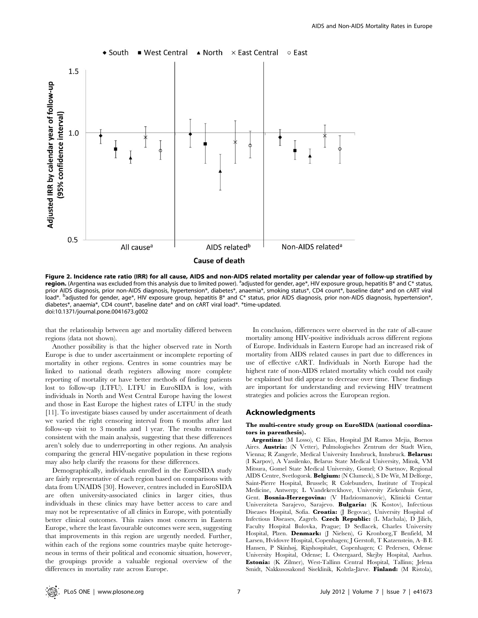

Figure 2. Incidence rate ratio (IRR) for all cause, AIDS and non-AIDS related mortality per calendar year of follow-up stratified by region. (Argentina was excluded from this analysis due to limited power). <sup>a</sup>adjusted for gender, age\*, HIV exposure group, hepatitis B\* and C\* status, prior AIDS diagnosis, prior non-AIDS diagnosis, hypertension\*, diabetes\*, anaemia\*, smoking status\*, CD4 count\*, baseline date\* and on cART viral .<br>load\*. <sup>b</sup>adjusted for gender, age\*, HIV exposure group, hepatitis B\* and C\* status, prior AIDS diagnosis, prior non-AIDS diagnosis, hypertension\*, diabetes\*, anaemia\*, CD4 count\*, baseline date\* and on cART viral load\*. \*time-updated. doi:10.1371/journal.pone.0041673.g002

that the relationship between age and mortality differed between regions (data not shown).

Another possibility is that the higher observed rate in North Europe is due to under ascertainment or incomplete reporting of mortality in other regions. Centres in some countries may be linked to national death registers allowing more complete reporting of mortality or have better methods of finding patients lost to follow-up (LTFU). LTFU in EuroSIDA is low, with individuals in North and West Central Europe having the lowest and those in East Europe the highest rates of LTFU in the study [11]. To investigate biases caused by under ascertainment of death we varied the right censoring interval from 6 months after last follow-up visit to 3 months and 1 year. The results remained consistent with the main analysis, suggesting that these differences aren't solely due to underreporting in other regions. An analysis comparing the general HIV-negative population in these regions may also help clarify the reasons for these differences.

Demographically, individuals enrolled in the EuroSIDA study are fairly representative of each region based on comparisons with data from UNAIDS [30]. However, centres included in EuroSIDA are often university-associated clinics in larger cities, thus individuals in these clinics may have better access to care and may not be representative of all clinics in Europe, with potentially better clinical outcomes. This raises most concern in Eastern Europe, where the least favourable outcomes were seen, suggesting that improvements in this region are urgently needed. Further, within each of the regions some countries maybe quite heterogeneous in terms of their political and economic situation, however, the groupings provide a valuable regional overview of the differences in mortality rate across Europe.

In conclusion, differences were observed in the rate of all-cause mortality among HIV-positive individuals across different regions of Europe. Individuals in Eastern Europe had an increased risk of mortality from AIDS related causes in part due to differences in use of effective cART. Individuals in North Europe had the highest rate of non-AIDS related mortality which could not easily be explained but did appear to decrease over time. These findings are important for understanding and reviewing HIV treatment strategies and policies across the European region.

#### Acknowledgments

## The multi-centre study group on EuroSIDA (national coordinators in parenthesis).

Argentina: (M Losso), C Elias, Hospital JM Ramos Mejia, Buenos Aires. Austria: (N Vetter), Pulmologisches Zentrum der Stadt Wien, Vienna; R Zangerle, Medical University Innsbruck, Innsbruck. Belarus: (I Karpov), A Vassilenko, Belarus State Medical University, Minsk, VM Mitsura, Gomel State Medical University, Gomel; O Suetnov, Regional AIDS Centre, Svetlogorsk. Belgium: (N Clumeck), S De Wit, M Delforge, Saint-Pierre Hospital, Brussels; R Colebunders, Institute of Tropical Medicine, Antwerp; L Vandekerckhove, University Ziekenhuis Gent, Gent. Bosnia-Herzegovina: (V Hadziosmanovic), Klinicki Centar Univerziteta Sarajevo, Sarajevo. Bulgaria: (K Kostov), Infectious Diseases Hospital, Sofia. Croatia: (J Begovac), University Hospital of Infectious Diseases, Zagreb. Czech Republic: (L Machala), D Jilich, Faculty Hospital Bulovka, Prague; D Sedlacek, Charles University Hospital, Plzen. Denmark: (J Nielsen), G Kronborg,T Benfield, M Larsen, Hvidovre Hospital, Copenhagen; J Gerstoft, T Katzenstein, A–B E Hansen, P Skinhøj, Rigshospitalet, Copenhagen; C Pedersen, Odense University Hospital, Odense; L Ostergaard, Skejby Hospital, Aarhus. Estonia: (K Zilmer), West-Tallinn Central Hospital, Tallinn; Jelena Smidt, Nakkusosakond Siseklinik, Kohtla-Järve. Finland: (M Ristola),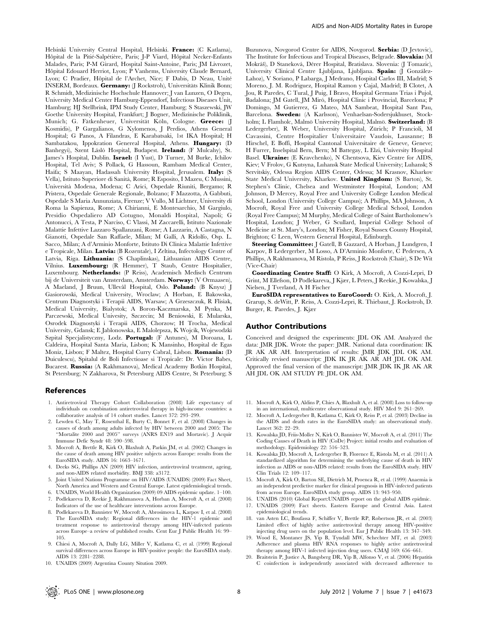Helsinki University Central Hospital, Helsinki. France: (C Katlama), Hôpital de la Pitié-Salpétière, Paris; J-P Viard, Hôpital Necker-Enfants Malades, Paris; P-M Girard, Hospital Saint-Antoine, Paris; JM Livrozet, Hôpital Edouard Herriot, Lyon; P Vanhems, University Claude Bernard, Lyon; C Pradier, Hôpital de l'Archet, Nice; F Dabis, D Neau, Unité INSERM, Bordeaux. Germany: (J Rockstroh), Universitäts Klinik Bonn; R Schmidt, Medizinische Hochschule Hannover; J van Lunzen, O Degen, University Medical Center Hamburg-Eppendorf, Infectious Diseases Unit, Hamburg; HJ Stellbrink, IPM Study Center, Hamburg; S Staszewski, JW Goethe University Hospital, Frankfurt; J Bogner, Medizinische Poliklinik, Munich; G. Fätkenheuer, Universität Köln, Cologne. Greece: (J Kosmidis), P Gargalianos, G Xylomenos, J Perdios, Athens General Hospital; G Panos, A Filandras, E Karabatsaki, 1st IKA Hospital; H Sambatakou, Ippokration Genereal Hospital, Athens. Hungary: (D Banhegyi), Szent Lásló Hospital, Budapest. Ireland: (F Mulcahy), St. James's Hospital, Dublin. Israel: (I Yust), D Turner, M Burke, Ichilov Hospital, Tel Aviv; S Pollack, G Hassoun, Rambam Medical Center, Haifa; S Maayan, Hadassah University Hospital, Jerusalem. Italy: (S Vella), Istituto Superiore di Sanita`, Rome; R Esposito, I Mazeu, C Mussini, Universita` Modena, Modena; C Arici, Ospedale Riuniti, Bergamo; R Pristera, Ospedale Generale Regionale, Bolzano; F Mazzotta, A Gabbuti, Ospedale S Maria Annunziata, Firenze; V Vullo, M Lichtner, University di Roma la Sapienza, Rome; A Chirianni, E Montesarchio, M Gargiulo, Presidio Ospedaliero AD Cotugno, Monaldi Hospital, Napoli; G Antonucci, A Testa, P Narciso, C Vlassi, M Zaccarelli, Istituto Nazionale Malattie Infettive Lazzaro Spallanzani, Rome; A Lazzarin, A Castagna, N Gianotti, Ospedale San Raffaele, Milan; M Galli, A Ridolfo, Osp. L. Sacco, Milan; A d'Arminio Monforte, Istituto Di Clinica Malattie Infettive e Tropicale, Milan. Latvia: (B Rozentale), I Zeltina, Infectology Centre of Latvia, Riga. Lithuania: (S Chaplinskas), Lithuanian AIDS Centre, Vilnius. Luxembourg: (R Hemmer), T Staub, Centre Hospitalier, Luxembourg. Netherlands: (P Reiss), Academisch Medisch Centrum bij de Universiteit van Amsterdam, Amsterdam. Norway: (V Ormaasen), A Maeland, J Bruun, Ullevål Hospital, Oslo. Poland: (B Knysz) J Gasiorowski, Medical University, Wroclaw; A Horban, E Bakowska, Centrum Diagnostyki i Terapii AIDS, Warsaw; A Grzeszczuk, R Flisiak, Medical University, Bialystok; A Boron-Kaczmarska, M Pynka, M Parczewski, Medical Univesity, Szczecin; M Beniowski, E Mularska, Osrodek Diagnostyki i Terapii AIDS, Chorzow; H Trocha, Medical University, Gdansk; E Jablonowska, E Malolepsza, K Wojcik, Wojewodzki Szpital Specjalistyczny, Lodz. Portugal: (F Antunes), M Doroana, L Caldeira, Hospital Santa Maria, Lisbon; K Mansinho, Hospital de Egas Moniz, Lisbon; F Maltez, Hospital Curry Cabral, Lisbon. Romania: (D Duiculescu), Spitalul de Boli Infectioase si Tropicale: Dr. Victor Babes, Bucarest. Russia: (A Rakhmanova), Medical Academy Botkin Hospital, St Petersburg; N Zakharova, St Petersburg AIDS Centre, St Peterburg; S

#### References

- 1. Antiretroviral Therapy Cohort Collaboration (2008) Life expectancy of individuals on combination antiretroviral therapy in high-income countries: a collaborative analysis of 14 cohort studies. Lancet 372: 293–299.
- 2. Lewden C, May T, Rosenthal E, Burty C, Bonnet F, et al. (2008) Changes in causes of death among adults infected by HIV between 2000 and 2005: The ''Mortalite 2000 and 2005'' surveys (ANRS EN19 and Mortavic). J Acquir Immune Defic Syndr 48: 590–598.
- 3. Mocroft A, Brettle R, Kirk O, Blaxhult A, Parkin JM, et al. (2002) Changes in the cause of death among HIV positive subjects across Europe: results from the EuroSIDA study. AIDS 16: 1663–1671.
- 4. Deeks SG, Phillips AN (2009) HIV infection, antiretroviral treatment, ageing, and non-AIDS related morbidity. BMJ 338: a3172.
- 5. Joint United Nations Programme on HIV/AIDS (UNAIDS) (2009) Fact Sheet, North America and Western and Central Europe. Latest epidemiological trends.
- 6. UNAIDS, World Health Organization (2009) 09 AIDS epidemic update. 1–100.
- 7. Podlekareva D, Reekie J, Rakhmanova A, Horban A, Mocroft A, et al. (2008) Indicators of the use of healthcare interventions across Europe.
- 8. Podlekareva D, Bannister W, Mocroft A, Abrosimova L, Karpov I, et al. (2008) The EuroSIDA study: Regional differences in the HIV-1 epidemic and treatment response to antiretroviral therapy among HIV-infected patients across Europe–a review of published results. Cent Eur J Public Health 16: 99– 105.
- 9. Chiesi A, Mocroft A, Dally LG, Miller V, Katlama C, et al. (1999) Regional survival differences across Europe in HIV-positive people: the EuroSIDA study. AIDS 13: 2281–2288.
- 10. UNAIDS (2009) Argentina County Sitution 2009.

Buzunova, Novgorod Centre for AIDS, Novgorod. Serbia: (D Jevtovic), The Institute for Infectious and Tropical Diseases, Belgrade. Slovakia: (M Mokráš), D Staneková, Dérer Hospital, Bratislava. Slovenia: (J Tomazic), University Clinical Centre Ljubljana, Ljubljana. Spain: (J González-Lahoz), V Soriano, P Labarga, J Medrano, Hospital Carlos III, Madrid; S Moreno, J. M. Rodriguez, Hospital Ramon y Cajal, Madrid; B Clotet, A Jou, R Paredes, C Tural, J Puig, I Bravo, Hospital Germans Trias i Pujol, Badalona; JM Gatell, JM Miró, Hospital Clinic i Provincial, Barcelona; P Domingo, M Gutierrez, G Mateo, MA Sambeat, Hospital Sant Pau, Barcelona. Sweden: (A Karlsson), Venhaelsan-Sodersjukhuset, Stockholm; L Flamholc, Malmö University Hospital, Malmö. Switzerland: (B Ledergerber), R Weber, University Hospital, Zürich; P Francioli, M Cavassini, Centre Hospitalier Universitaire Vaudois, Lausanne; B Hirschel, E Boffi, Hospital Cantonal Universitaire de Geneve, Geneve; H Furrer, Inselspital Bern, Bern; M Battegay, L Elzi, University Hospital Basel. Ukraine: (E Kravchenko), N Chentsova, Kiev Centre for AIDS, Kiev; V Frolov, G Kutsyna, Luhansk State Medical University; Luhansk; S Servitskiy, Odessa Region AIDS Center, Odessa; M Krasnov, Kharkov State Medical University, Kharkov. United Kingdom: (S Barton), St. Stephen's Clinic, Chelsea and Westminster Hospital, London; AM Johnson, D Mercey, Royal Free and University College London Medical School, London (University College Campus); A Phillips, MA Johnson, A Mocroft, Royal Free and University College Medical School, London (Royal Free Campus); M Murphy, Medical College of Saint Bartholomew's Hospital, London; J Weber, G Scullard, Imperial College School of Medicine at St. Mary's, London; M Fisher, Royal Sussex County Hospital, Brighton; C Leen, Western General Hospital, Edinburgh.

Steering Committee: J Gatell, B Gazzard, A Horban, J Lundgren, I Karpov, B Ledergerber, M Losso, A D'Arminio Monforte, C Pedersen, A Phillips, A Rakhmanova, M Ristola, P Reiss, J Rockstroh (Chair), S De Wit (Vice-Chair)

Coordinating Centre Staff: O Kirk, A Mocroft, A Cozzi-Lepri, D Grint, M Ellefson, D Podlekareva, J Kjær, L Peters, J Reekie, J Kowalska, J Nielsen, J Tverland, A H Fischer

EuroSIDA representatives to EuroCoord: O. Kirk, A. Mocroft, J. Grarup, S. deWitt, P. Reiss, A. Cozzi-Lepri, R. Thiebaut, J. Rockstroh, D. Burger, R. Paredes, J. Kjær

#### Author Contributions

Conceived and designed the experiments: JDL OK AM. Analyzed the data: JMR JDK. Wrote the paper: JMR. National data coordination: IK JR AK AR AH. Interpretation of results: JMR JDK JDL OK AM. Critically revised manuscript: JDK IK JR AK AR AH JDL OK AM. Approved the final version of the manuscript: JMR JDK IK JR AK AR AH JDL OK AM STUDY PI: JDL OK AM.

- 11. Mocroft A, Kirk O, Aldins P, Chies A, Blaxhult A, et al. (2008) Loss to follow-up in an international, multicentre observational study. HIV Med 9: 261–269.
- 12. Mocroft A, Ledergerber B, Katlama C, Kirk O, Reiss P, et al. (2003) Decline in the AIDS and death rates in the EuroSIDA study: an observational study. Lancet 362: 22–29.
- 13. Kowalska JD, Friis-Moller N, Kirk O, Bannister W, Mocroft A, et al. (2011) The Coding Causes of Death in HIV (CoDe) Project: initial results and evaluation of methodology. Epidemiology 22: 516–523.
- 14. Kowalska JD, Mocroft A, Ledergerber B, Florence E, Ristola M, et al. (2011) A standardized algorithm for determining the underlying cause of death in HIV infection as AIDS or non-AIDS related: results from the EuroSIDA study. HIV Clin Trials 12: 109–117.
- 15. Mocroft A, Kirk O, Barton SE, Dietrich M, Proenca R, et al. (1999) Anaemia is an independent predictive marker for clinical prognosis in HIV-infected patients from across Europe. EuroSIDA study group. AIDS 13: 943–950.
- 16. UNAIDS (2010) Global Report:UNAIDS report on the global AIDS epidmic.
- 17. UNAIDS (2009) Fact sheets. Eastern Europe and Central Asia. Latest epidemiological trends.
- 18. van Asten LC, Boufassa F, Schiffer V, Brettle RP, Robertson JR, et al. (2003) Limited effect of highly active antiretroviral therapy among HIV-positive injecting drug users on the population level. Eur J Public Health 13: 347–349.
- 19. Wood E, Montaner JS, Yip B, Tyndall MW, Schechter MT, et al. (2003) Adherence and plasma HIV RNA responses to highly active antiretroviral therapy among HIV-1 infected injection drug users. CMAJ 169: 656–661.
- 20. Braitstein P, Justice A, Bangsberg DR, Yip B, Alfonso V, et al. (2006) Hepatitis C coinfection is independently associated with decreased adherence to